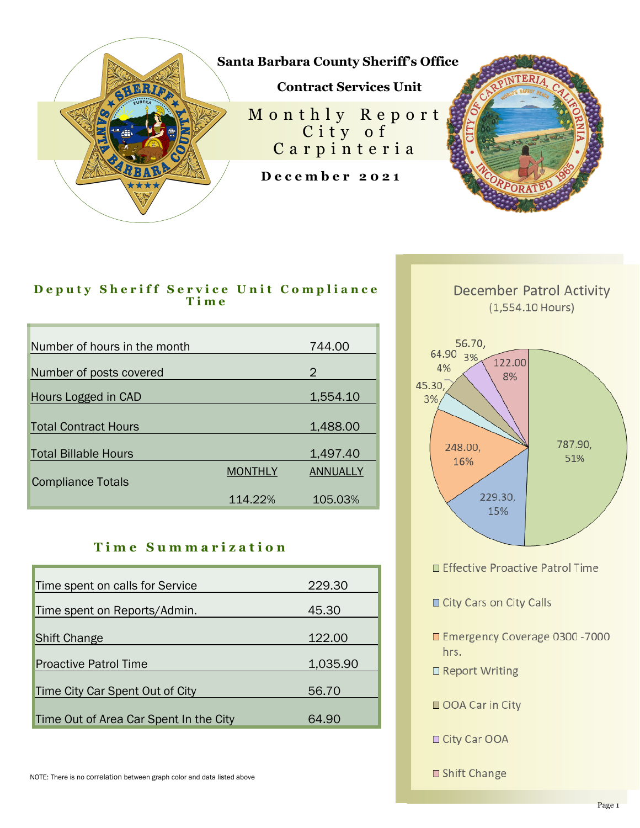

## D e puty Sheriff Service Unit Compliance **T i m e**

| Number of hours in the month |                | 744.00   |
|------------------------------|----------------|----------|
| Number of posts covered      |                | 2        |
| Hours Logged in CAD          |                | 1,554.10 |
| <b>Total Contract Hours</b>  |                | 1,488.00 |
| <b>Total Billable Hours</b>  |                | 1,497.40 |
| <b>Compliance Totals</b>     | <b>MONTHLY</b> | ANNUALLY |
|                              | 114.22%        | 105.03%  |

## **T i m e S u m m a r i z a t i o n**

| Time spent on calls for Service        | 229.30   |
|----------------------------------------|----------|
| Time spent on Reports/Admin.           | 45.30    |
| <b>Shift Change</b>                    | 122.00   |
| <b>Proactive Patrol Time</b>           | 1,035.90 |
| Time City Car Spent Out of City        | 56.70    |
|                                        |          |
| Time Out of Area Car Spent In the City | 64.90    |



**December Patrol Activity** 

- Effective Proactive Patrol Time
- City Cars on City Calls
- Emergency Coverage 0300 7000 hrs.
- □ Report Writing
- OOA Car in City
- □ City Car OOA
- □ Shift Change